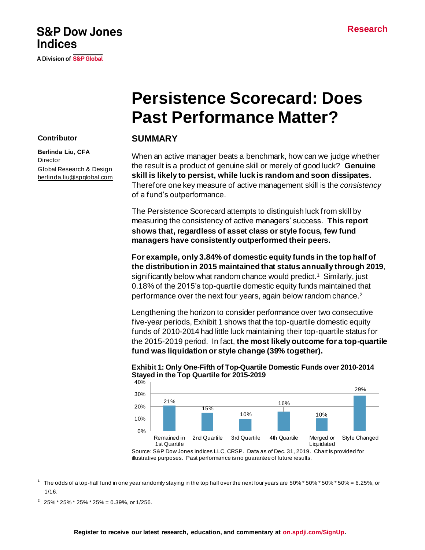# **S&P Dow Jones Indices**

A Division of S&P Global

# **Persistence Scorecard: Does Past Performance Matter?**

## **SUMMARY**

When an active manager beats a benchmark, how can we judge whether the result is a product of genuine skill or merely of good luck? **Genuine skill is likely to persist, while luck is random and soon dissipates.** Therefore one key measure of active management skill is the *consistency* of a fund's outperformance.

The Persistence Scorecard attempts to distinguish luck from skill by measuring the consistency of active managers' success. **This report shows that, regardless of asset class or style focus, few fund managers have consistently outperformed their peers.**

**For example, only 3.84% of domestic equity funds in the top half of the distribution in 2015 maintained that status annually through 2019**, significantly below what random chance would predict.<sup>1</sup> Similarly, just 0.18% of the 2015's top-quartile domestic equity funds maintained that performance over the next four years, again below random chance. 2

Lengthening the horizon to consider performance over two consecutive five-year periods, Exhibit 1 shows that the top-quartile domestic equity funds of 2010-2014 had little luck maintaining their top-quartile status for the 2015-2019 period. In fact, **the most likely outcome for a top-quartile fund was liquidation or style change (39% together).**



#### **Exhibit 1: Only One-Fifth of Top-Quartile Domestic Funds over 2010-2014 Stayed in the Top Quartile for 2015-2019**

1 The odds of a top-half fund in one year randomly staying in the top half over the next four years are 50% \* 50% \* 50% \* 50% = 6.25%, or 1/16.

 $2^{2}$  25% \* 25% \* 25% \* 25% = 0.39%, or 1/256.

# **Register to receive our latest research, education, and commentary at [on.spdji.com/SignUp.](https://on.spdji.com/SignUp.html?src=DocFooters)**

#### **Contributor**

**Berlinda Liu, CFA Director** Global Research & Design [berlinda.liu@spglobal.com](mailto:berlinda.liu@spglobal.com)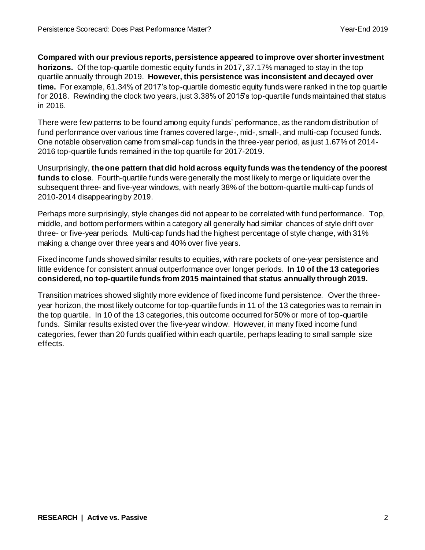**Compared with our previous reports, persistence appeared to improve over shorter investment horizons.** Of the top-quartile domestic equity funds in 2017, 37.17% managed to stay in the top quartile annually through 2019. **However, this persistence was inconsistent and decayed over time.** For example, 61.34% of 2017's top-quartile domestic equity funds were ranked in the top quartile for 2018. Rewinding the clock two years, just 3.38% of 2015's top-quartile funds maintained that status in 2016.

There were few patterns to be found among equity funds' performance, as the random distribution of fund performance over various time frames covered large-, mid-, small-, and multi-cap focused funds. One notable observation came from small-cap funds in the three-year period, as just 1.67% of 2014- 2016 top-quartile funds remained in the top quartile for 2017-2019.

Unsurprisingly, **the one pattern that did hold across equity funds was the tendency of the poorest funds to close**. Fourth-quartile funds were generally the most likely to merge or liquidate over the subsequent three- and five-year windows, with nearly 38% of the bottom-quartile multi-cap funds of 2010-2014 disappearing by 2019.

Perhaps more surprisingly, style changes did not appear to be correlated with fund performance. Top, middle, and bottom performers within a category all generally had similar chances of style drift over three- or five-year periods. Multi-cap funds had the highest percentage of style change, with 31% making a change over three years and 40% over five years.

Fixed income funds showed similar results to equities, with rare pockets of one-year persistence and little evidence for consistent annual outperformance over longer periods. **In 10 of the 13 categories considered, no top-quartile funds from 2015 maintained that status annually through 2019.**

Transition matrices showed slightly more evidence of fixed income fund persistence. Over the threeyear horizon, the most likely outcome for top-quartile funds in 11 of the 13 categories was to remain in the top quartile. In 10 of the 13 categories, this outcome occurred for 50% or more of top-quartile funds. Similar results existed over the five-year window. However, in many fixed income fund categories, fewer than 20 funds qualified within each quartile, perhaps leading to small sample size effects.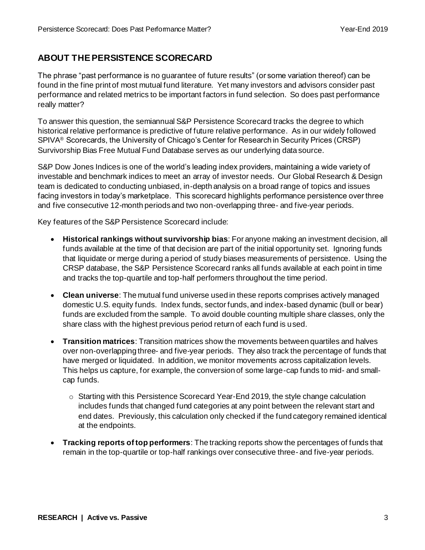# **ABOUT THE PERSISTENCE SCORECARD**

The phrase "past performance is no guarantee of future results" (or some variation thereof) can be found in the fine print of most mutual fund literature. Yet many investors and advisors consider past performance and related metrics to be important factors in fund selection. So does past performance really matter?

To answer this question, the semiannual S&P Persistence Scorecard tracks the degree to which historical relative performance is predictive of future relative performance. As in our widely followed SPIVA® Scorecards, the University of Chicago's Center for Research in Security Prices (CRSP) Survivorship Bias Free Mutual Fund Database serves as our underlying data source.

S&P Dow Jones Indices is one of the world's leading index providers, maintaining a wide variety of investable and benchmark indices to meet an array of investor needs. Our Global Research & Design team is dedicated to conducting unbiased, in-depth analysis on a broad range of topics and issues facing investors in today's marketplace. This scorecard highlights performance persistence over three and five consecutive 12-month periods and two non-overlapping three- and five-year periods.

Key features of the S&P Persistence Scorecard include:

- **Historical rankings without survivorship bias**: For anyone making an investment decision, all funds available at the time of that decision are part of the initial opportunity set. Ignoring funds that liquidate or merge during a period of study biases measurements of persistence. Using the CRSP database, the S&P Persistence Scorecard ranks all funds available at each point in time and tracks the top-quartile and top-half performers throughout the time period.
- **Clean universe**: The mutual fund universe used in these reports comprises actively managed domestic U.S. equity funds. Index funds, sector funds, and index-based dynamic (bull or bear) funds are excluded from the sample. To avoid double counting multiple share classes, only the share class with the highest previous period return of each fund is used.
- **Transition matrices**: Transition matrices show the movements between quartiles and halves over non-overlapping three- and five-year periods. They also track the percentage of funds that have merged or liquidated. In addition, we monitor movements across capitalization levels. This helps us capture, for example, the conversion of some large-cap funds to mid- and smallcap funds.
	- o Starting with this Persistence Scorecard Year-End 2019, the style change calculation includes funds that changed fund categories at any point between the relevant start and end dates. Previously, this calculation only checked if the fund category remained identical at the endpoints.
- **Tracking reports of top performers**: The tracking reports show the percentages of funds that remain in the top-quartile or top-half rankings over consecutive three- and five-year periods.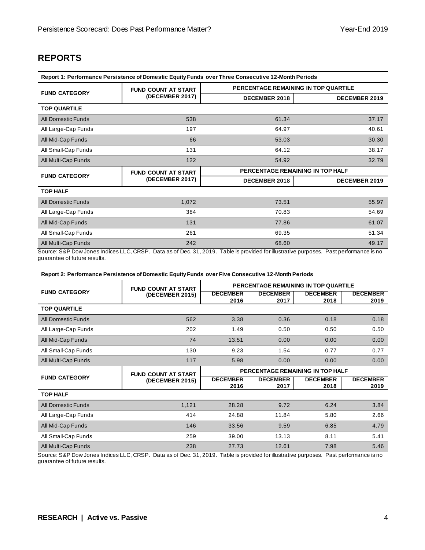### **REPORTS**

| Report 1: Performance Persistence of Domestic Equity Funds over Three Consecutive 12-Month Periods |                            |                                      |                      |  |  |  |  |  |
|----------------------------------------------------------------------------------------------------|----------------------------|--------------------------------------|----------------------|--|--|--|--|--|
|                                                                                                    | <b>FUND COUNT AT START</b> | PERCENTAGE REMAINING IN TOP QUARTILE |                      |  |  |  |  |  |
| <b>FUND CATEGORY</b>                                                                               | (DECEMBER 2017)            | <b>DECEMBER 2018</b>                 | DECEMBER 2019        |  |  |  |  |  |
| <b>TOP QUARTILE</b>                                                                                |                            |                                      |                      |  |  |  |  |  |
| <b>All Domestic Funds</b>                                                                          | 538                        | 61.34                                | 37.17                |  |  |  |  |  |
| All Large-Cap Funds                                                                                | 197                        | 64.97                                | 40.61                |  |  |  |  |  |
| All Mid-Cap Funds                                                                                  | 66                         | 53.03                                | 30.30                |  |  |  |  |  |
| All Small-Cap Funds                                                                                | 131                        | 64.12                                | 38.17                |  |  |  |  |  |
| All Multi-Cap Funds                                                                                | 122                        | 54.92                                | 32.79                |  |  |  |  |  |
|                                                                                                    |                            | PERCENTAGE REMAINING IN TOP HALF     |                      |  |  |  |  |  |
|                                                                                                    | <b>FUND COUNT AT START</b> |                                      |                      |  |  |  |  |  |
| <b>FUND CATEGORY</b>                                                                               | (DECEMBER 2017)            | <b>DECEMBER 2018</b>                 | <b>DECEMBER 2019</b> |  |  |  |  |  |
| <b>TOP HALF</b>                                                                                    |                            |                                      |                      |  |  |  |  |  |
| <b>All Domestic Funds</b>                                                                          | 1,072                      | 73.51                                | 55.97                |  |  |  |  |  |
| All Large-Cap Funds                                                                                | 384                        | 70.83                                | 54.69                |  |  |  |  |  |
| All Mid-Cap Funds                                                                                  | 131                        | 77.86                                | 61.07                |  |  |  |  |  |
| All Small-Cap Funds                                                                                | 261                        | 69.35                                | 51.34                |  |  |  |  |  |
| All Multi-Cap Funds                                                                                | 242                        | 68.60                                | 49.17                |  |  |  |  |  |

guarantee of future results.

**Report 2: Performance Persistence of Domestic Equity Funds over Five Consecutive 12-Month Periods**

|                           | <b>FUND COUNT AT START</b> | PERCENTAGE REMAINING IN TOP QUARTILE |                         |                                  |                         |  |
|---------------------------|----------------------------|--------------------------------------|-------------------------|----------------------------------|-------------------------|--|
| <b>FUND CATEGORY</b>      | (DECEMBER 2015)            | <b>DECEMBER</b><br>2016              | <b>DECEMBER</b><br>2017 | <b>DECEMBER</b><br>2018          | <b>DECEMBER</b><br>2019 |  |
| <b>TOP QUARTILE</b>       |                            |                                      |                         |                                  |                         |  |
| <b>All Domestic Funds</b> | 562                        | 3.38                                 | 0.36                    | 0.18                             | 0.18                    |  |
| All Large-Cap Funds       | 202                        | 1.49                                 | 0.50                    | 0.50                             | 0.50                    |  |
| All Mid-Cap Funds         | 74                         | 13.51                                | 0.00                    | 0.00                             | 0.00                    |  |
| All Small-Cap Funds       | 130                        | 9.23                                 | 1.54                    | 0.77                             | 0.77                    |  |
| All Multi-Cap Funds       | 117                        | 5.98                                 | 0.00                    | 0.00                             | 0.00                    |  |
|                           |                            |                                      |                         |                                  |                         |  |
|                           | <b>FUND COUNT AT START</b> |                                      |                         | PERCENTAGE REMAINING IN TOP HALF |                         |  |
| <b>FUND CATEGORY</b>      | (DECEMBER 2015)            | <b>DECEMBER</b><br>2016              | <b>DECEMBER</b><br>2017 | <b>DECEMBER</b><br>2018          | <b>DECEMBER</b><br>2019 |  |
| <b>TOP HALF</b>           |                            |                                      |                         |                                  |                         |  |
| All Domestic Funds        | 1,121                      | 28.28                                | 9.72                    | 6.24                             | 3.84                    |  |
| All Large-Cap Funds       | 414                        | 24.88                                | 11.84                   | 5.80                             | 2.66                    |  |
| All Mid-Cap Funds         | 146                        | 33.56                                | 9.59                    | 6.85                             | 4.79                    |  |
| All Small-Cap Funds       | 259                        | 39.00                                | 13.13                   | 8.11                             | 5.41                    |  |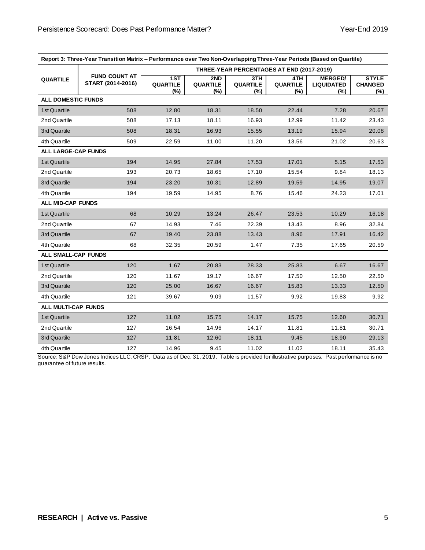|                            | Report 3: Three-Year Transition Matrix - Performance over Two Non-Overlapping Three-Year Periods (Based on Quartile) |                                           |                                  |                               |                                  |                                               |                                       |  |
|----------------------------|----------------------------------------------------------------------------------------------------------------------|-------------------------------------------|----------------------------------|-------------------------------|----------------------------------|-----------------------------------------------|---------------------------------------|--|
|                            |                                                                                                                      | THREE-YEAR PERCENTAGES AT END (2017-2019) |                                  |                               |                                  |                                               |                                       |  |
| <b>QUARTILE</b>            | <b>FUND COUNT AT</b><br>START (2014-2016)                                                                            | 1ST<br><b>QUARTILE</b><br>$(\%)$          | 2ND<br><b>QUARTILE</b><br>$(\%)$ | 3TH<br><b>QUARTILE</b><br>(%) | 4TH<br><b>QUARTILE</b><br>$(\%)$ | <b>MERGED/</b><br><b>LIQUIDATED</b><br>$(\%)$ | <b>STYLE</b><br><b>CHANGED</b><br>(%) |  |
| <b>ALL DOMESTIC FUNDS</b>  |                                                                                                                      |                                           |                                  |                               |                                  |                                               |                                       |  |
| 1st Quartile               | 508                                                                                                                  | 12.80                                     | 18.31                            | 18.50                         | 22.44                            | 7.28                                          | 20.67                                 |  |
| 2nd Quartile               | 508                                                                                                                  | 17.13                                     | 18.11                            | 16.93                         | 12.99                            | 11.42                                         | 23.43                                 |  |
| 3rd Quartile               | 508                                                                                                                  | 18.31                                     | 16.93                            | 15.55                         | 13.19                            | 15.94                                         | 20.08                                 |  |
| 4th Quartile               | 509                                                                                                                  | 22.59                                     | 11.00                            | 11.20                         | 13.56                            | 21.02                                         | 20.63                                 |  |
| <b>ALL LARGE-CAP FUNDS</b> |                                                                                                                      |                                           |                                  |                               |                                  |                                               |                                       |  |
| 1st Quartile               | 194                                                                                                                  | 14.95                                     | 27.84                            | 17.53                         | 17.01                            | 5.15                                          | 17.53                                 |  |
| 2nd Quartile               | 193                                                                                                                  | 20.73                                     | 18.65                            | 17.10                         | 15.54                            | 9.84                                          | 18.13                                 |  |
| 3rd Quartile               | 194                                                                                                                  | 23.20                                     | 10.31                            | 12.89                         | 19.59                            | 14.95                                         | 19.07                                 |  |
| 4th Quartile               | 194                                                                                                                  | 19.59                                     | 14.95                            | 8.76                          | 15.46                            | 24.23                                         | 17.01                                 |  |
| <b>ALL MID-CAP FUNDS</b>   |                                                                                                                      |                                           |                                  |                               |                                  |                                               |                                       |  |
| 1st Quartile               | 68                                                                                                                   | 10.29                                     | 13.24                            | 26.47                         | 23.53                            | 10.29                                         | 16.18                                 |  |
| 2nd Quartile               | 67                                                                                                                   | 14.93                                     | 7.46                             | 22.39                         | 13.43                            | 8.96                                          | 32.84                                 |  |
| 3rd Quartile               | 67                                                                                                                   | 19.40                                     | 23.88                            | 13.43                         | 8.96                             | 17.91                                         | 16.42                                 |  |
| 4th Quartile               | 68                                                                                                                   | 32.35                                     | 20.59                            | 1.47                          | 7.35                             | 17.65                                         | 20.59                                 |  |
| <b>ALL SMALL-CAP FUNDS</b> |                                                                                                                      |                                           |                                  |                               |                                  |                                               |                                       |  |
| 1st Quartile               | 120                                                                                                                  | 1.67                                      | 20.83                            | 28.33                         | 25.83                            | 6.67                                          | 16.67                                 |  |
| 2nd Quartile               | 120                                                                                                                  | 11.67                                     | 19.17                            | 16.67                         | 17.50                            | 12.50                                         | 22.50                                 |  |
| 3rd Quartile               | 120                                                                                                                  | 25.00                                     | 16.67                            | 16.67                         | 15.83                            | 13.33                                         | 12.50                                 |  |
| 4th Quartile               | 121                                                                                                                  | 39.67                                     | 9.09                             | 11.57                         | 9.92                             | 19.83                                         | 9.92                                  |  |
| <b>ALL MULTI-CAP FUNDS</b> |                                                                                                                      |                                           |                                  |                               |                                  |                                               |                                       |  |
| 1st Quartile               | 127                                                                                                                  | 11.02                                     | 15.75                            | 14.17                         | 15.75                            | 12.60                                         | 30.71                                 |  |
| 2nd Quartile               | 127                                                                                                                  | 16.54                                     | 14.96                            | 14.17                         | 11.81                            | 11.81                                         | 30.71                                 |  |
| 3rd Quartile               | 127                                                                                                                  | 11.81                                     | 12.60                            | 18.11                         | 9.45                             | 18.90                                         | 29.13                                 |  |
| 4th Quartile               | 127                                                                                                                  | 14.96                                     | 9.45                             | 11.02                         | 11.02                            | 18.11                                         | 35.43                                 |  |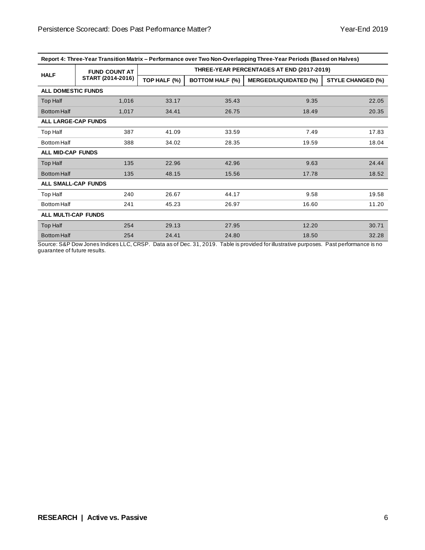| Report 4: Three-Year Transition Matrix – Performance over Two Non-Overlapping Three-Year Periods (Based on Halves) |  |
|--------------------------------------------------------------------------------------------------------------------|--|
|                                                                                                                    |  |

|                            | <b>FUND COUNT AT</b> | THREE-YEAR PERCENTAGES AT END (2017-2019) |                        |                              |                          |  |  |
|----------------------------|----------------------|-------------------------------------------|------------------------|------------------------------|--------------------------|--|--|
| <b>HALF</b>                | START (2014-2016)    | TOP HALF (%)                              | <b>BOTTOM HALF (%)</b> | <b>MERGED/LIQUIDATED (%)</b> | <b>STYLE CHANGED (%)</b> |  |  |
| <b>ALL DOMESTIC FUNDS</b>  |                      |                                           |                        |                              |                          |  |  |
| Top Half                   | 1,016                | 33.17                                     | 35.43                  | 9.35                         | 22.05                    |  |  |
| <b>Bottom Half</b>         | 1,017                | 34.41                                     | 26.75                  | 18.49                        | 20.35                    |  |  |
| <b>ALL LARGE-CAP FUNDS</b> |                      |                                           |                        |                              |                          |  |  |
| Top Half                   | 387                  | 41.09                                     | 33.59                  | 7.49                         | 17.83                    |  |  |
| <b>Bottom Half</b>         | 388                  | 34.02                                     | 28.35                  | 19.59                        | 18.04                    |  |  |
| <b>ALL MID-CAP FUNDS</b>   |                      |                                           |                        |                              |                          |  |  |
| Top Half                   | 135                  | 22.96                                     | 42.96                  | 9.63                         | 24.44                    |  |  |
| <b>Bottom Half</b>         | 135                  | 48.15                                     | 15.56                  | 17.78                        | 18.52                    |  |  |
| <b>ALL SMALL-CAP FUNDS</b> |                      |                                           |                        |                              |                          |  |  |
| Top Half                   | 240                  | 26.67                                     | 44.17                  | 9.58                         | 19.58                    |  |  |
| <b>Bottom Half</b>         | 241                  | 45.23                                     | 26.97                  | 16.60                        | 11.20                    |  |  |
| <b>ALL MULTI-CAP FUNDS</b> |                      |                                           |                        |                              |                          |  |  |
| Top Half                   | 254                  | 29.13                                     | 27.95                  | 12.20                        | 30.71                    |  |  |
| <b>Bottom Half</b>         | 254                  | 24.41                                     | 24.80                  | 18.50                        | 32.28                    |  |  |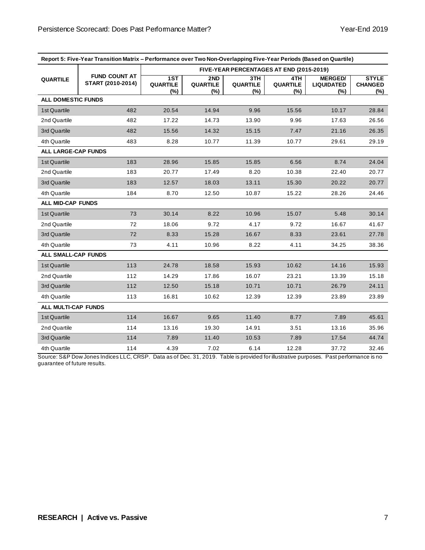|                            |                                           | Report 5: Five-Year Transition Matrix - Performance over Two Non-Overlapping Five-Year Periods (Based on Quartile) |                               |                        |                                  |                                            |                                       |
|----------------------------|-------------------------------------------|--------------------------------------------------------------------------------------------------------------------|-------------------------------|------------------------|----------------------------------|--------------------------------------------|---------------------------------------|
|                            | FIVE-YEAR PERCENTAGES AT END (2015-2019)  |                                                                                                                    |                               |                        |                                  |                                            |                                       |
| <b>QUARTILE</b>            | <b>FUND COUNT AT</b><br>START (2010-2014) | 1ST<br><b>QUARTILE</b><br>(%)                                                                                      | 2ND<br><b>QUARTILE</b><br>(%) | 3TH<br>QUARTILE<br>(%) | 4TH<br><b>QUARTILE</b><br>$(\%)$ | <b>MERGED/</b><br><b>LIQUIDATED</b><br>(%) | <b>STYLE</b><br><b>CHANGED</b><br>(%) |
| <b>ALL DOMESTIC FUNDS</b>  |                                           |                                                                                                                    |                               |                        |                                  |                                            |                                       |
| 1st Quartile               | 482                                       | 20.54                                                                                                              | 14.94                         | 9.96                   | 15.56                            | 10.17                                      | 28.84                                 |
| 2nd Quartile               | 482                                       | 17.22                                                                                                              | 14.73                         | 13.90                  | 9.96                             | 17.63                                      | 26.56                                 |
| 3rd Quartile               | 482                                       | 15.56                                                                                                              | 14.32                         | 15.15                  | 7.47                             | 21.16                                      | 26.35                                 |
| 4th Quartile               | 483                                       | 8.28                                                                                                               | 10.77                         | 11.39                  | 10.77                            | 29.61                                      | 29.19                                 |
| <b>ALL LARGE-CAP FUNDS</b> |                                           |                                                                                                                    |                               |                        |                                  |                                            |                                       |
| 1st Quartile               | 183                                       | 28.96                                                                                                              | 15.85                         | 15.85                  | 6.56                             | 8.74                                       | 24.04                                 |
| 2nd Quartile               | 183                                       | 20.77                                                                                                              | 17.49                         | 8.20                   | 10.38                            | 22.40                                      | 20.77                                 |
| 3rd Quartile               | 183                                       | 12.57                                                                                                              | 18.03                         | 13.11                  | 15.30                            | 20.22                                      | 20.77                                 |
| 4th Quartile               | 184                                       | 8.70                                                                                                               | 12.50                         | 10.87                  | 15.22                            | 28.26                                      | 24.46                                 |
| <b>ALL MID-CAP FUNDS</b>   |                                           |                                                                                                                    |                               |                        |                                  |                                            |                                       |
| 1st Quartile               | 73                                        | 30.14                                                                                                              | 8.22                          | 10.96                  | 15.07                            | 5.48                                       | 30.14                                 |
| 2nd Quartile               | 72                                        | 18.06                                                                                                              | 9.72                          | 4.17                   | 9.72                             | 16.67                                      | 41.67                                 |
| 3rd Quartile               | 72                                        | 8.33                                                                                                               | 15.28                         | 16.67                  | 8.33                             | 23.61                                      | 27.78                                 |
| 4th Quartile               | 73                                        | 4.11                                                                                                               | 10.96                         | 8.22                   | 4.11                             | 34.25                                      | 38.36                                 |
| <b>ALL SMALL-CAP FUNDS</b> |                                           |                                                                                                                    |                               |                        |                                  |                                            |                                       |
| 1st Quartile               | 113                                       | 24.78                                                                                                              | 18.58                         | 15.93                  | 10.62                            | 14.16                                      | 15.93                                 |
| 2nd Quartile               | 112                                       | 14.29                                                                                                              | 17.86                         | 16.07                  | 23.21                            | 13.39                                      | 15.18                                 |
| 3rd Quartile               | 112                                       | 12.50                                                                                                              | 15.18                         | 10.71                  | 10.71                            | 26.79                                      | 24.11                                 |
| 4th Quartile               | 113                                       | 16.81                                                                                                              | 10.62                         | 12.39                  | 12.39                            | 23.89                                      | 23.89                                 |
| ALL MULTI-CAP FUNDS        |                                           |                                                                                                                    |                               |                        |                                  |                                            |                                       |
| 1st Quartile               | 114                                       | 16.67                                                                                                              | 9.65                          | 11.40                  | 8.77                             | 7.89                                       | 45.61                                 |
| 2nd Quartile               | 114                                       | 13.16                                                                                                              | 19.30                         | 14.91                  | 3.51                             | 13.16                                      | 35.96                                 |
| 3rd Quartile               | 114                                       | 7.89                                                                                                               | 11.40                         | 10.53                  | 7.89                             | 17.54                                      | 44.74                                 |
| 4th Quartile               | 114                                       | 4.39                                                                                                               | 7.02                          | 6.14                   | 12.28                            | 37.72                                      | 32.46                                 |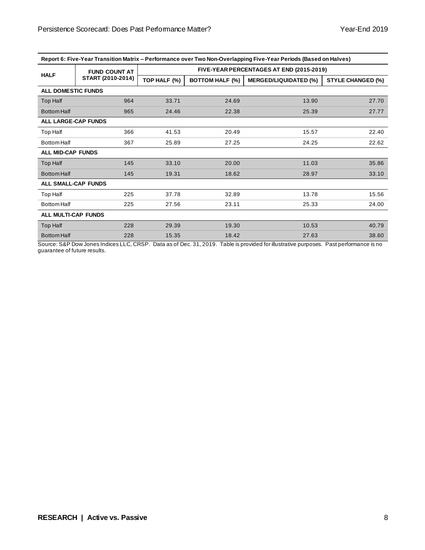| Report 6: Five-Year Transition Matrix – Performance over Two Non-Overlapping Five-Year Periods (Based on Halves) |                      |                                          |                        |                              |                          |  |  |  |
|------------------------------------------------------------------------------------------------------------------|----------------------|------------------------------------------|------------------------|------------------------------|--------------------------|--|--|--|
|                                                                                                                  | <b>FUND COUNT AT</b> | FIVE-YEAR PERCENTAGES AT END (2015-2019) |                        |                              |                          |  |  |  |
| <b>HALF</b>                                                                                                      | START (2010-2014)    | TOP HALF (%)                             | <b>BOTTOM HALF (%)</b> | <b>MERGED/LIQUIDATED (%)</b> | <b>STYLE CHANGED (%)</b> |  |  |  |
| <b>ALL DOMESTIC FUNDS</b>                                                                                        |                      |                                          |                        |                              |                          |  |  |  |
| Top Half                                                                                                         | 964                  | 33.71                                    | 24.69                  | 13.90                        | 27.70                    |  |  |  |
| <b>Bottom Half</b>                                                                                               | 965                  | 24.46                                    | 22.38                  | 25.39                        | 27.77                    |  |  |  |
| ALL LARGE-CAP FUNDS                                                                                              |                      |                                          |                        |                              |                          |  |  |  |
| Top Half                                                                                                         | 366                  | 41.53                                    | 20.49                  | 15.57                        | 22.40                    |  |  |  |
| <b>Bottom Half</b>                                                                                               | 367                  | 25.89                                    | 27.25                  | 24.25                        | 22.62                    |  |  |  |
| <b>ALL MID-CAP FUNDS</b>                                                                                         |                      |                                          |                        |                              |                          |  |  |  |
| Top Half                                                                                                         | 145                  | 33.10                                    | 20.00                  | 11.03                        | 35.86                    |  |  |  |
| <b>Bottom Half</b>                                                                                               | 145                  | 19.31                                    | 18.62                  | 28.97                        | 33.10                    |  |  |  |
| <b>ALL SMALL-CAP FUNDS</b>                                                                                       |                      |                                          |                        |                              |                          |  |  |  |
| Top Half                                                                                                         | 225                  | 37.78                                    | 32.89                  | 13.78                        | 15.56                    |  |  |  |
| <b>Bottom Half</b>                                                                                               | 225                  | 27.56                                    | 23.11                  | 25.33                        | 24.00                    |  |  |  |
| ALL MULTI-CAP FUNDS                                                                                              |                      |                                          |                        |                              |                          |  |  |  |
| <b>Top Half</b>                                                                                                  | 228                  | 29.39                                    | 19.30                  | 10.53                        | 40.79                    |  |  |  |
| <b>Bottom Half</b>                                                                                               | 228                  | 15.35                                    | 18.42                  | 27.63                        | 38.60                    |  |  |  |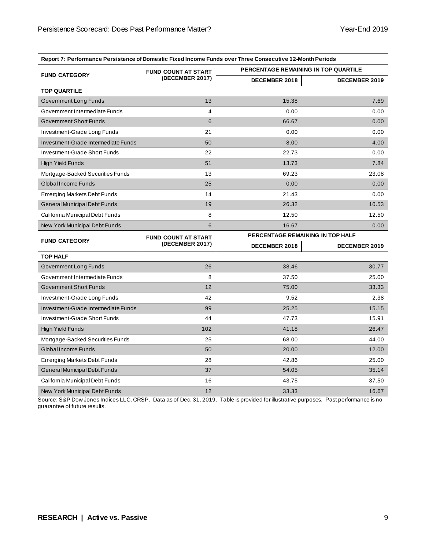| Report 7: Performance Persistence of Domestic Fixed Income Funds over Three Consecutive 12-Month Periods |                            |               |                                             |  |  |  |  |  |
|----------------------------------------------------------------------------------------------------------|----------------------------|---------------|---------------------------------------------|--|--|--|--|--|
|                                                                                                          | <b>FUND COUNT AT START</b> |               | <b>PERCENTAGE REMAINING IN TOP QUARTILE</b> |  |  |  |  |  |
| <b>FUND CATEGORY</b>                                                                                     | (DECEMBER 2017)            | DECEMBER 2018 | DECEMBER 2019                               |  |  |  |  |  |
| <b>TOP QUARTILE</b>                                                                                      |                            |               |                                             |  |  |  |  |  |
| Government Long Funds                                                                                    | 13                         | 15.38         | 7.69                                        |  |  |  |  |  |
| Government Intermediate Funds                                                                            | 4                          | 0.00          | 0.00                                        |  |  |  |  |  |
| <b>Government Short Funds</b>                                                                            | 6                          | 66.67         | 0.00                                        |  |  |  |  |  |
| Investment-Grade Long Funds                                                                              | 21                         | 0.00          | 0.00                                        |  |  |  |  |  |
| Investment-Grade Intermediate Funds                                                                      | 50                         | 8.00          | 4.00                                        |  |  |  |  |  |
| Investment-Grade Short Funds                                                                             | 22                         | 22.73         | 0.00                                        |  |  |  |  |  |
| <b>High Yield Funds</b>                                                                                  | 51                         | 13.73         | 7.84                                        |  |  |  |  |  |
| Mortgage-Backed Securities Funds                                                                         | 13                         | 69.23         | 23.08                                       |  |  |  |  |  |
| <b>Global Income Funds</b>                                                                               | 25                         | 0.00          | 0.00                                        |  |  |  |  |  |
| <b>Emerging Markets Debt Funds</b>                                                                       | 14                         | 21.43         | 0.00                                        |  |  |  |  |  |
| General Municipal Debt Funds                                                                             | 19                         | 26.32         | 10.53                                       |  |  |  |  |  |
| California Municipal Debt Funds                                                                          | 8                          | 12.50         | 12.50                                       |  |  |  |  |  |
| New York Municipal Debt Funds                                                                            | 6                          | 16.67         | 0.00                                        |  |  |  |  |  |
| <b>FUND CATEGORY</b>                                                                                     | <b>FUND COUNT AT START</b> |               | PERCENTAGE REMAINING IN TOP HALF            |  |  |  |  |  |
|                                                                                                          | (DECEMBER 2017)            | DECEMBER 2018 | DECEMBER 2019                               |  |  |  |  |  |
| <b>TOP HALF</b>                                                                                          |                            |               |                                             |  |  |  |  |  |
| Government Long Funds                                                                                    | 26                         | 38.46         | 30.77                                       |  |  |  |  |  |
| Government Intermediate Funds                                                                            | 8                          | 37.50         | 25.00                                       |  |  |  |  |  |
| <b>Government Short Funds</b>                                                                            | 12                         | 75.00         | 33.33                                       |  |  |  |  |  |
| Investment-Grade Long Funds                                                                              | 42                         | 9.52          | 2.38                                        |  |  |  |  |  |
| Investment-Grade Intermediate Funds                                                                      | 99                         | 25.25         | 15.15                                       |  |  |  |  |  |
| Investment-Grade Short Funds                                                                             | 44                         | 47.73         | 15.91                                       |  |  |  |  |  |
| <b>High Yield Funds</b>                                                                                  | 102                        | 41.18         | 26.47                                       |  |  |  |  |  |
| Mortgage-Backed Securities Funds                                                                         | 25                         | 68.00         | 44.00                                       |  |  |  |  |  |
| Global Income Funds                                                                                      | 50                         | 20.00         | 12.00                                       |  |  |  |  |  |
|                                                                                                          |                            |               |                                             |  |  |  |  |  |
| <b>Emerging Markets Debt Funds</b>                                                                       | 28                         | 42.86         | 25.00                                       |  |  |  |  |  |
| General Municipal Debt Funds                                                                             | 37                         | 54.05         | 35.14                                       |  |  |  |  |  |
| California Municipal Debt Funds                                                                          | 16                         | 43.75         | 37.50                                       |  |  |  |  |  |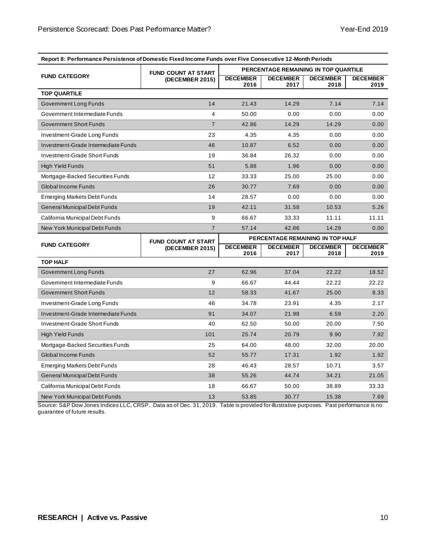| Report 8: Performance Persistence of Domestic Fixed Income Funds over Five Consecutive 12-Month Periods |                            |                                      |                                  |                         |                         |  |  |  |  |
|---------------------------------------------------------------------------------------------------------|----------------------------|--------------------------------------|----------------------------------|-------------------------|-------------------------|--|--|--|--|
|                                                                                                         | <b>FUND COUNT AT START</b> | PERCENTAGE REMAINING IN TOP QUARTILE |                                  |                         |                         |  |  |  |  |
| <b>FUND CATEGORY</b>                                                                                    | (DECEMBER 2015)            | <b>DECEMBER</b><br>2016              | <b>DECEMBER</b><br>2017          | <b>DECEMBER</b><br>2018 | <b>DECEMBER</b><br>2019 |  |  |  |  |
| <b>TOP QUARTILE</b>                                                                                     |                            |                                      |                                  |                         |                         |  |  |  |  |
| Government Long Funds                                                                                   | 14                         | 21.43                                | 14.29                            | 7.14                    | 7.14                    |  |  |  |  |
| Government Intermediate Funds                                                                           | 4                          | 50.00                                | 0.00                             | 0.00                    | 0.00                    |  |  |  |  |
| <b>Government Short Funds</b>                                                                           | $\overline{7}$             | 42.86                                | 14.29                            | 14.29                   | 0.00                    |  |  |  |  |
| Investment-Grade Long Funds                                                                             | 23                         | 4.35                                 | 4.35                             | 0.00                    | 0.00                    |  |  |  |  |
| Investment-Grade Intermediate Funds                                                                     | 46                         | 10.87                                | 6.52                             | 0.00                    | 0.00                    |  |  |  |  |
| <b>Investment-Grade Short Funds</b>                                                                     | 19                         | 36.84                                | 26.32                            | 0.00                    | 0.00                    |  |  |  |  |
| <b>High Yield Funds</b>                                                                                 | 51                         | 5.88                                 | 1.96                             | 0.00                    | 0.00                    |  |  |  |  |
| Mortgage-Backed Securities Funds                                                                        | 12                         | 33.33                                | 25.00                            | 25.00                   | 0.00                    |  |  |  |  |
| Global Income Funds                                                                                     | 26                         | 30.77                                | 7.69                             | 0.00                    | 0.00                    |  |  |  |  |
| <b>Emerging Markets Debt Funds</b>                                                                      | 14                         | 28.57                                | 0.00                             | 0.00                    | 0.00                    |  |  |  |  |
| General Municipal Debt Funds                                                                            | 19                         | 42.11                                | 31.58                            | 10.53                   | 5.26                    |  |  |  |  |
| California Municipal Debt Funds                                                                         | 9                          | 66.67                                | 33.33                            | 11.11                   | 11.11                   |  |  |  |  |
| New York Municipal Debt Funds                                                                           | $\overline{7}$             | 57.14                                | 42.86                            | 14.29                   | 0.00                    |  |  |  |  |
|                                                                                                         |                            |                                      | PERCENTAGE REMAINING IN TOP HALF |                         |                         |  |  |  |  |
|                                                                                                         | <b>FUND COUNT AT START</b> |                                      |                                  |                         |                         |  |  |  |  |
| <b>FUND CATEGORY</b>                                                                                    | (DECEMBER 2015)            | <b>DECEMBER</b><br>2016              | <b>DECEMBER</b><br>2017          | <b>DECEMBER</b><br>2018 | <b>DECEMBER</b><br>2019 |  |  |  |  |
| <b>TOP HALF</b>                                                                                         |                            |                                      |                                  |                         |                         |  |  |  |  |
| Government Long Funds                                                                                   | 27                         | 62.96                                | 37.04                            | 22.22                   | 18.52                   |  |  |  |  |
| Government Intermediate Funds                                                                           | 9                          | 66.67                                | 44.44                            | 22.22                   | 22.22                   |  |  |  |  |
| <b>Government Short Funds</b>                                                                           | 12                         | 58.33                                | 41.67                            | 25.00                   | 8.33                    |  |  |  |  |
| Investment-Grade Long Funds                                                                             | 46                         | 34.78                                | 23.91                            | 4.35                    | 2.17                    |  |  |  |  |
| Investment-Grade Intermediate Funds                                                                     | 91                         | 34.07                                | 21.98                            | 6.59                    | 2.20                    |  |  |  |  |
| <b>Investment-Grade Short Funds</b>                                                                     | 40                         | 62.50                                | 50.00                            | 20.00                   | 7.50                    |  |  |  |  |
| <b>High Yield Funds</b>                                                                                 | 101                        | 25.74                                | 20.79                            | 9.90                    | 7.92                    |  |  |  |  |
| Mortgage-Backed Securities Funds                                                                        | 25                         | 64.00                                | 48.00                            | 32.00                   | 20.00                   |  |  |  |  |
| Global Income Funds                                                                                     | 52                         | 55.77                                | 17.31                            | 1.92                    | 1.92                    |  |  |  |  |
| <b>Emerging Markets Debt Funds</b>                                                                      | 28                         | 46.43                                | 28.57                            | 10.71                   | 3.57                    |  |  |  |  |
| General Municipal Debt Funds                                                                            | 38                         | 55.26                                | 44.74                            | 34.21                   | 21.05                   |  |  |  |  |
| California Municipal Debt Funds                                                                         | 18                         | 66.67                                | 50.00                            | 38.89                   | 33.33                   |  |  |  |  |

**Report 8: Performance Persistence of Domestic Fixed Income Funds over Five Consecutive 12-Month Periods**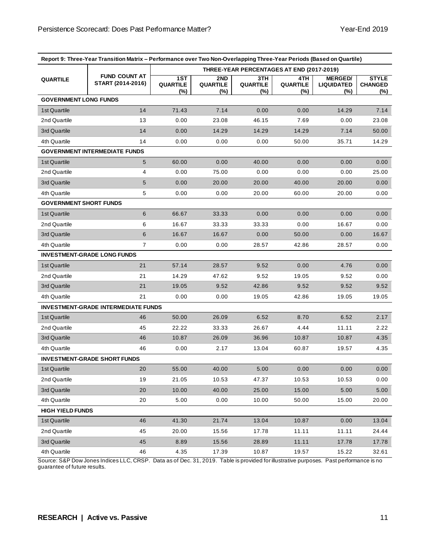|                               | Report 9: Three-Year Transition Matrix - Performance over Two Non-Overlapping Three-Year Periods (Based on Quartile) |                        |                                           |                               |                        |                                            |                                       |  |
|-------------------------------|----------------------------------------------------------------------------------------------------------------------|------------------------|-------------------------------------------|-------------------------------|------------------------|--------------------------------------------|---------------------------------------|--|
|                               |                                                                                                                      |                        | THREE-YEAR PERCENTAGES AT END (2017-2019) |                               |                        |                                            |                                       |  |
| <b>QUARTILE</b>               | <b>FUND COUNT AT</b><br>START (2014-2016)                                                                            | 1ST<br>QUARTILE<br>(%) | 2ND<br><b>QUARTILE</b><br>(%)             | 3TH<br><b>QUARTILE</b><br>(%) | 4TH<br>QUARTILE<br>(%) | <b>MERGED/</b><br><b>LIQUIDATED</b><br>(%) | <b>STYLE</b><br><b>CHANGED</b><br>(%) |  |
| <b>GOVERNMENT LONG FUNDS</b>  |                                                                                                                      |                        |                                           |                               |                        |                                            |                                       |  |
| 1st Quartile                  | 14                                                                                                                   | 71.43                  | 7.14                                      | 0.00                          | 0.00                   | 14.29                                      | 7.14                                  |  |
| 2nd Quartile                  | 13                                                                                                                   | 0.00                   | 23.08                                     | 46.15                         | 7.69                   | 0.00                                       | 23.08                                 |  |
| 3rd Quartile                  | 14                                                                                                                   | 0.00                   | 14.29                                     | 14.29                         | 14.29                  | 7.14                                       | 50.00                                 |  |
| 4th Quartile                  | 14                                                                                                                   | 0.00                   | 0.00                                      | 0.00                          | 50.00                  | 35.71                                      | 14.29                                 |  |
|                               | <b>GOVERNMENT INTERMEDIATE FUNDS</b>                                                                                 |                        |                                           |                               |                        |                                            |                                       |  |
| 1st Quartile                  | 5                                                                                                                    | 60.00                  | 0.00                                      | 40.00                         | 0.00                   | 0.00                                       | 0.00                                  |  |
| 2nd Quartile                  | 4                                                                                                                    | 0.00                   | 75.00                                     | 0.00                          | 0.00                   | 0.00                                       | 25.00                                 |  |
| 3rd Quartile                  | 5                                                                                                                    | 0.00                   | 20.00                                     | 20.00                         | 40.00                  | 20.00                                      | 0.00                                  |  |
| 4th Quartile                  | 5                                                                                                                    | 0.00                   | 0.00                                      | 20.00                         | 60.00                  | 20.00                                      | 0.00                                  |  |
| <b>GOVERNMENT SHORT FUNDS</b> |                                                                                                                      |                        |                                           |                               |                        |                                            |                                       |  |
| 1st Quartile                  | 6                                                                                                                    | 66.67                  | 33.33                                     | 0.00                          | 0.00                   | 0.00                                       | 0.00                                  |  |
| 2nd Quartile                  | 6                                                                                                                    | 16.67                  | 33.33                                     | 33.33                         | 0.00                   | 16.67                                      | 0.00                                  |  |
| 3rd Quartile                  | 6                                                                                                                    | 16.67                  | 16.67                                     | 0.00                          | 50.00                  | 0.00                                       | 16.67                                 |  |
| 4th Quartile                  | 7                                                                                                                    | 0.00                   | 0.00                                      | 28.57                         | 42.86                  | 28.57                                      | 0.00                                  |  |
|                               | <b>INVESTMENT-GRADE LONG FUNDS</b>                                                                                   |                        |                                           |                               |                        |                                            |                                       |  |
| 1st Quartile                  | 21                                                                                                                   | 57.14                  | 28.57                                     | 9.52                          | 0.00                   | 4.76                                       | 0.00                                  |  |
| 2nd Quartile                  | 21                                                                                                                   | 14.29                  | 47.62                                     | 9.52                          | 19.05                  | 9.52                                       | 0.00                                  |  |
| 3rd Quartile                  | 21                                                                                                                   | 19.05                  | 9.52                                      | 42.86                         | 9.52                   | 9.52                                       | 9.52                                  |  |
| 4th Quartile                  | 21                                                                                                                   | 0.00                   | 0.00                                      | 19.05                         | 42.86                  | 19.05                                      | 19.05                                 |  |
|                               | <b>INVESTMENT-GRADE INTERMEDIATE FUNDS</b>                                                                           |                        |                                           |                               |                        |                                            |                                       |  |
| 1st Quartile                  | 46                                                                                                                   | 50.00                  | 26.09                                     | 6.52                          | 8.70                   | 6.52                                       | 2.17                                  |  |
| 2nd Quartile                  | 45                                                                                                                   | 22.22                  | 33.33                                     | 26.67                         | 4.44                   | 11.11                                      | 2.22                                  |  |
| 3rd Quartile                  | 46                                                                                                                   | 10.87                  | 26.09                                     | 36.96                         | 10.87                  | 10.87                                      | 4.35                                  |  |
| 4th Quartile                  | 46                                                                                                                   | 0.00                   | 2.17                                      | 13.04                         | 60.87                  | 19.57                                      | 4.35                                  |  |
|                               | <b>INVESTMENT-GRADE SHORT FUNDS</b>                                                                                  |                        |                                           |                               |                        |                                            |                                       |  |
| 1st Quartile                  | 20                                                                                                                   | 55.00                  | 40.00                                     | 5.00                          | 0.00                   | 0.00                                       | 0.00                                  |  |
| 2nd Quartile                  | 19                                                                                                                   | 21.05                  | 10.53                                     | 47.37                         | 10.53                  | 10.53                                      | 0.00                                  |  |
| 3rd Quartile                  | 20                                                                                                                   | 10.00                  | 40.00                                     | 25.00                         | 15.00                  | 5.00                                       | 5.00                                  |  |
| 4th Quartile                  | 20                                                                                                                   | 5.00                   | 0.00                                      | 10.00                         | 50.00                  | 15.00                                      | 20.00                                 |  |
| <b>HIGH YIELD FUNDS</b>       |                                                                                                                      |                        |                                           |                               |                        |                                            |                                       |  |
| 1st Quartile                  | 46                                                                                                                   | 41.30                  | 21.74                                     | 13.04                         | 10.87                  | 0.00                                       | 13.04                                 |  |
| 2nd Quartile                  | 45                                                                                                                   | 20.00                  | 15.56                                     | 17.78                         | 11.11                  | 11.11                                      | 24.44                                 |  |
| 3rd Quartile                  | 45                                                                                                                   | 8.89                   | 15.56                                     | 28.89                         | 11.11                  | 17.78                                      | 17.78                                 |  |
| 4th Quartile                  | 46                                                                                                                   | 4.35                   | 17.39                                     | 10.87                         | 19.57                  | 15.22                                      | 32.61                                 |  |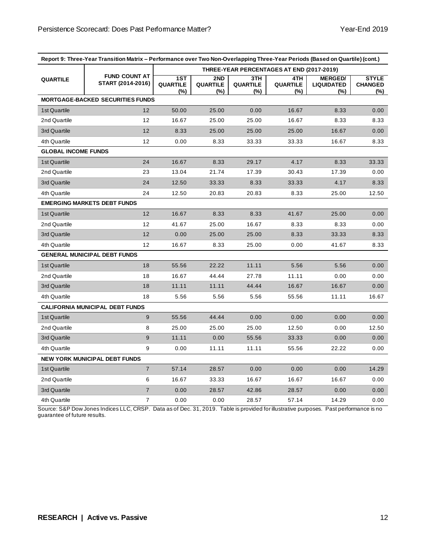|                            | Report 9: Three-Year Transition Matrix - Performance over Two Non-Overlapping Three-Year Periods (Based on Quartile) (cont.) |                                  |                                           |                               |                        |                                               |                                       |  |
|----------------------------|------------------------------------------------------------------------------------------------------------------------------|----------------------------------|-------------------------------------------|-------------------------------|------------------------|-----------------------------------------------|---------------------------------------|--|
|                            |                                                                                                                              |                                  | THREE-YEAR PERCENTAGES AT END (2017-2019) |                               |                        |                                               |                                       |  |
| <b>QUARTILE</b>            | <b>FUND COUNT AT</b><br>START (2014-2016)                                                                                    | 1ST<br><b>QUARTILE</b><br>$(\%)$ | 2ND<br><b>QUARTILE</b><br>$(\%)$          | 3TH<br><b>QUARTILE</b><br>(%) | 4TH<br>QUARTILE<br>(%) | <b>MERGED/</b><br><b>LIQUIDATED</b><br>$(\%)$ | <b>STYLE</b><br><b>CHANGED</b><br>(%) |  |
|                            | <b>MORTGAGE-BACKED SECURITIES FUNDS</b>                                                                                      |                                  |                                           |                               |                        |                                               |                                       |  |
| 1st Quartile               | 12                                                                                                                           | 50.00                            | 25.00                                     | 0.00                          | 16.67                  | 8.33                                          | 0.00                                  |  |
| 2nd Quartile               | 12                                                                                                                           | 16.67                            | 25.00                                     | 25.00                         | 16.67                  | 8.33                                          | 8.33                                  |  |
| 3rd Quartile               | 12                                                                                                                           | 8.33                             | 25.00                                     | 25.00                         | 25.00                  | 16.67                                         | 0.00                                  |  |
| 4th Quartile               | 12                                                                                                                           | 0.00                             | 8.33                                      | 33.33                         | 33.33                  | 16.67                                         | 8.33                                  |  |
| <b>GLOBAL INCOME FUNDS</b> |                                                                                                                              |                                  |                                           |                               |                        |                                               |                                       |  |
| 1st Quartile               | 24                                                                                                                           | 16.67                            | 8.33                                      | 29.17                         | 4.17                   | 8.33                                          | 33.33                                 |  |
| 2nd Quartile               | 23                                                                                                                           | 13.04                            | 21.74                                     | 17.39                         | 30.43                  | 17.39                                         | 0.00                                  |  |
| 3rd Quartile               | 24                                                                                                                           | 12.50                            | 33.33                                     | 8.33                          | 33.33                  | 4.17                                          | 8.33                                  |  |
| 4th Quartile               | 24                                                                                                                           | 12.50                            | 20.83                                     | 20.83                         | 8.33                   | 25.00                                         | 12.50                                 |  |
|                            | <b>EMERGING MARKETS DEBT FUNDS</b>                                                                                           |                                  |                                           |                               |                        |                                               |                                       |  |
| 1st Quartile               | 12                                                                                                                           | 16.67                            | 8.33                                      | 8.33                          | 41.67                  | 25.00                                         | 0.00                                  |  |
| 2nd Quartile               | 12                                                                                                                           | 41.67                            | 25.00                                     | 16.67                         | 8.33                   | 8.33                                          | 0.00                                  |  |
| 3rd Quartile               | 12                                                                                                                           | 0.00                             | 25.00                                     | 25.00                         | 8.33                   | 33.33                                         | 8.33                                  |  |
| 4th Quartile               | 12                                                                                                                           | 16.67                            | 8.33                                      | 25.00                         | 0.00                   | 41.67                                         | 8.33                                  |  |
|                            | <b>GENERAL MUNICIPAL DEBT FUNDS</b>                                                                                          |                                  |                                           |                               |                        |                                               |                                       |  |
| 1st Quartile               | 18                                                                                                                           | 55.56                            | 22.22                                     | 11.11                         | 5.56                   | 5.56                                          | 0.00                                  |  |
| 2nd Quartile               | 18                                                                                                                           | 16.67                            | 44.44                                     | 27.78                         | 11.11                  | 0.00                                          | 0.00                                  |  |
| 3rd Quartile               | 18                                                                                                                           | 11.11                            | 11.11                                     | 44.44                         | 16.67                  | 16.67                                         | 0.00                                  |  |
| 4th Quartile               | 18                                                                                                                           | 5.56                             | 5.56                                      | 5.56                          | 55.56                  | 11.11                                         | 16.67                                 |  |
|                            | <b>CALIFORNIA MUNICIPAL DEBT FUNDS</b>                                                                                       |                                  |                                           |                               |                        |                                               |                                       |  |
| 1st Quartile               | 9                                                                                                                            | 55.56                            | 44.44                                     | 0.00                          | 0.00                   | 0.00                                          | 0.00                                  |  |
| 2nd Quartile               | 8                                                                                                                            | 25.00                            | 25.00                                     | 25.00                         | 12.50                  | 0.00                                          | 12.50                                 |  |
| 3rd Quartile               | 9                                                                                                                            | 11.11                            | 0.00                                      | 55.56                         | 33.33                  | 0.00                                          | 0.00                                  |  |
| 4th Quartile               | 9                                                                                                                            | 0.00                             | 11.11                                     | 11.11                         | 55.56                  | 22.22                                         | 0.00                                  |  |
|                            | <b>NEW YORK MUNICIPAL DEBT FUNDS</b>                                                                                         |                                  |                                           |                               |                        |                                               |                                       |  |
| 1st Quartile               | $\overline{7}$                                                                                                               | 57.14                            | 28.57                                     | 0.00                          | 0.00                   | 0.00                                          | 14.29                                 |  |
| 2nd Quartile               | 6                                                                                                                            | 16.67                            | 33.33                                     | 16.67                         | 16.67                  | 16.67                                         | 0.00                                  |  |
| 3rd Quartile               | $\overline{7}$                                                                                                               | 0.00                             | 28.57                                     | 42.86                         | 28.57                  | 0.00                                          | 0.00                                  |  |
| 4th Quartile               | $\overline{7}$                                                                                                               | 0.00                             | 0.00                                      | 28.57                         | 57.14                  | 14.29                                         | 0.00                                  |  |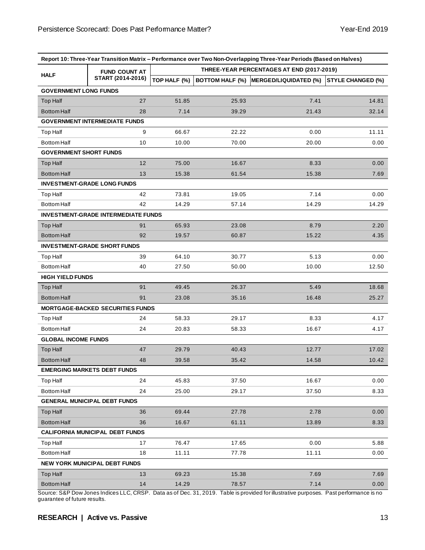|                               |                                            |                                           |       | Report 10: Three-Year Transition Matrix – Performance over Two Non-Overlapping Three-Year Periods (Based on Halves) |                          |
|-------------------------------|--------------------------------------------|-------------------------------------------|-------|---------------------------------------------------------------------------------------------------------------------|--------------------------|
|                               | <b>FUND COUNT AT</b>                       | THREE-YEAR PERCENTAGES AT END (2017-2019) |       |                                                                                                                     |                          |
| <b>HALF</b>                   | START (2014-2016)                          | TOP HALF (%)                              |       | BOTTOM HALF (%) MERGED/LIQUIDATED (%)                                                                               | <b>STYLE CHANGED (%)</b> |
| <b>GOVERNMENT LONG FUNDS</b>  |                                            |                                           |       |                                                                                                                     |                          |
| <b>Top Half</b>               | 27                                         | 51.85                                     | 25.93 | 7.41                                                                                                                | 14.81                    |
| <b>Bottom Half</b>            | 28                                         | 7.14                                      | 39.29 | 21.43                                                                                                               | 32.14                    |
|                               | <b>GOVERNMENT INTERMEDIATE FUNDS</b>       |                                           |       |                                                                                                                     |                          |
| Top Half                      | 9                                          | 66.67                                     | 22.22 | 0.00                                                                                                                | 11.11                    |
| <b>Bottom Half</b>            | 10                                         | 10.00                                     | 70.00 | 20.00                                                                                                               | 0.00                     |
| <b>GOVERNMENT SHORT FUNDS</b> |                                            |                                           |       |                                                                                                                     |                          |
| <b>Top Half</b>               | 12                                         | 75.00                                     | 16.67 | 8.33                                                                                                                | 0.00 <sub>1</sub>        |
| <b>Bottom Half</b>            | 13                                         | 15.38                                     | 61.54 | 15.38                                                                                                               | 7.69                     |
|                               | <b>INVESTMENT-GRADE LONG FUNDS</b>         |                                           |       |                                                                                                                     |                          |
| <b>Top Half</b>               | 42                                         | 73.81                                     | 19.05 | 7.14                                                                                                                | 0.00                     |
| <b>Bottom Half</b>            | 42                                         | 14.29                                     | 57.14 | 14.29                                                                                                               | 14.29                    |
|                               | <b>INVESTMENT-GRADE INTERMEDIATE FUNDS</b> |                                           |       |                                                                                                                     |                          |
| <b>Top Half</b>               | 91                                         | 65.93                                     | 23.08 | 8.79                                                                                                                | 2.20                     |
| <b>Bottom Half</b>            | 92                                         | 19.57                                     | 60.87 | 15.22                                                                                                               | 4.35                     |
|                               | <b>INVESTMENT-GRADE SHORT FUNDS</b>        |                                           |       |                                                                                                                     |                          |
| Top Half                      | 39                                         | 64.10                                     | 30.77 | 5.13                                                                                                                | 0.00                     |
| <b>Bottom Half</b>            | 40                                         | 27.50                                     | 50.00 | 10.00                                                                                                               | 12.50                    |
| <b>HIGH YIELD FUNDS</b>       |                                            |                                           |       |                                                                                                                     |                          |
| <b>Top Half</b>               | 91                                         | 49.45                                     | 26.37 | 5.49                                                                                                                | 18.68                    |
| <b>Bottom Half</b>            | 91                                         | 23.08                                     | 35.16 | 16.48                                                                                                               | 25.27                    |
|                               | <b>MORTGAGE-BACKED SECURITIES FUNDS</b>    |                                           |       |                                                                                                                     |                          |
| <b>Top Half</b>               | 24                                         | 58.33                                     | 29.17 | 8.33                                                                                                                | 4.17                     |
| <b>Bottom Half</b>            | 24                                         | 20.83                                     | 58.33 | 16.67                                                                                                               | 4.17                     |
| <b>GLOBAL INCOME FUNDS</b>    |                                            |                                           |       |                                                                                                                     |                          |
| <b>Top Half</b>               | 47                                         | 29.79                                     | 40.43 | 12.77                                                                                                               | 17.02                    |
| <b>Bottom Half</b>            | 48                                         | 39.58                                     | 35.42 | 14.58                                                                                                               | 10.42                    |
|                               | <b>EMERGING MARKETS DEBT FUNDS</b>         |                                           |       |                                                                                                                     |                          |
| Top Half                      | 24                                         | 45.83                                     | 37.50 | 16.67                                                                                                               | 0.00                     |
| <b>Bottom Half</b>            | 24                                         | 25.00                                     | 29.17 | 37.50                                                                                                               | 8.33                     |
|                               | <b>GENERAL MUNICIPAL DEBT FUNDS</b>        |                                           |       |                                                                                                                     |                          |
| <b>Top Half</b>               | 36                                         | 69.44                                     | 27.78 | 2.78                                                                                                                | 0.00                     |
| <b>Bottom Half</b>            | 36                                         | 16.67                                     | 61.11 | 13.89                                                                                                               | 8.33                     |
|                               | <b>CALIFORNIA MUNICIPAL DEBT FUNDS</b>     |                                           |       |                                                                                                                     |                          |
| Top Half                      | 17                                         | 76.47                                     | 17.65 | 0.00                                                                                                                | 5.88                     |
| <b>Bottom Half</b>            | 18                                         | 11.11                                     | 77.78 | 11.11                                                                                                               | 0.00                     |
|                               | <b>NEW YORK MUNICIPAL DEBT FUNDS</b>       |                                           |       |                                                                                                                     |                          |
| <b>Top Half</b>               | 13                                         | 69.23                                     | 15.38 | 7.69                                                                                                                | 7.69                     |
| <b>Bottom Half</b>            | 14                                         | 14.29                                     | 78.57 | 7.14                                                                                                                | 0.00                     |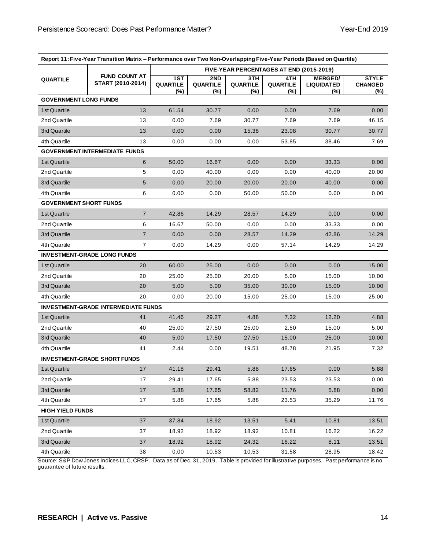| Report 11: Five-Year Transition Matrix – Performance over Two Non-Overlapping Five-Year Periods (Based on Quartile) |                                           |                                          |                               |                                  |                               |                                            |                                       |  |
|---------------------------------------------------------------------------------------------------------------------|-------------------------------------------|------------------------------------------|-------------------------------|----------------------------------|-------------------------------|--------------------------------------------|---------------------------------------|--|
|                                                                                                                     | <b>FUND COUNT AT</b><br>START (2010-2014) | FIVE-YEAR PERCENTAGES AT END (2015-2019) |                               |                                  |                               |                                            |                                       |  |
| <b>QUARTILE</b>                                                                                                     |                                           | 1ST<br><b>QUARTILE</b><br>$(\%)$         | 2ND<br><b>QUARTILE</b><br>(%) | 3TH<br><b>QUARTILE</b><br>$(\%)$ | 4TH<br><b>QUARTILE</b><br>(%) | <b>MERGED/</b><br><b>LIQUIDATED</b><br>(%) | <b>STYLE</b><br><b>CHANGED</b><br>(%) |  |
| <b>GOVERNMENT LONG FUNDS</b>                                                                                        |                                           |                                          |                               |                                  |                               |                                            |                                       |  |
| 1st Quartile                                                                                                        | 13                                        | 61.54                                    | 30.77                         | 0.00                             | 0.00                          | 7.69                                       | 0.00                                  |  |
| 2nd Quartile                                                                                                        | 13                                        | 0.00                                     | 7.69                          | 30.77                            | 7.69                          | 7.69                                       | 46.15                                 |  |
| 3rd Quartile                                                                                                        | 13                                        | 0.00                                     | 0.00                          | 15.38                            | 23.08                         | 30.77                                      | 30.77                                 |  |
| 4th Quartile                                                                                                        | 13                                        | 0.00                                     | 0.00                          | 0.00                             | 53.85                         | 38.46                                      | 7.69                                  |  |
|                                                                                                                     | <b>GOVERNMENT INTERMEDIATE FUNDS</b>      |                                          |                               |                                  |                               |                                            |                                       |  |
| 1st Quartile                                                                                                        | 6                                         | 50.00                                    | 16.67                         | 0.00                             | 0.00                          | 33.33                                      | 0.00                                  |  |
| 2nd Quartile                                                                                                        | 5                                         | 0.00                                     | 40.00                         | 0.00                             | 0.00                          | 40.00                                      | 20.00                                 |  |
| 3rd Quartile                                                                                                        | $\sqrt{5}$                                | 0.00                                     | 20.00                         | 20.00                            | 20.00                         | 40.00                                      | 0.00                                  |  |
| 4th Quartile                                                                                                        | 6                                         | 0.00                                     | 0.00                          | 50.00                            | 50.00                         | 0.00                                       | 0.00                                  |  |
| <b>GOVERNMENT SHORT FUNDS</b>                                                                                       |                                           |                                          |                               |                                  |                               |                                            |                                       |  |
| 1st Quartile                                                                                                        | $\overline{7}$                            | 42.86                                    | 14.29                         | 28.57                            | 14.29                         | 0.00                                       | 0.00                                  |  |
| 2nd Quartile                                                                                                        | 6                                         | 16.67                                    | 50.00                         | 0.00                             | 0.00                          | 33.33                                      | 0.00                                  |  |
| 3rd Quartile                                                                                                        | $\overline{7}$                            | 0.00                                     | 0.00                          | 28.57                            | 14.29                         | 42.86                                      | 14.29                                 |  |
| 4th Quartile                                                                                                        | $\overline{7}$                            | 0.00                                     | 14.29                         | 0.00                             | 57.14                         | 14.29                                      | 14.29                                 |  |
|                                                                                                                     | <b>INVESTMENT-GRADE LONG FUNDS</b>        |                                          |                               |                                  |                               |                                            |                                       |  |
| 1st Quartile                                                                                                        | 20                                        | 60.00                                    | 25.00                         | 0.00                             | 0.00                          | 0.00                                       | 15.00                                 |  |
| 2nd Quartile                                                                                                        | 20                                        | 25.00                                    | 25.00                         | 20.00                            | 5.00                          | 15.00                                      | 10.00                                 |  |
| 3rd Quartile                                                                                                        | 20                                        | 5.00                                     | 5.00                          | 35.00                            | 30.00                         | 15.00                                      | 10.00                                 |  |
| 4th Quartile                                                                                                        | 20                                        | 0.00                                     | 20.00                         | 15.00                            | 25.00                         | 15.00                                      | 25.00                                 |  |
| <b>INVESTMENT-GRADE INTERMEDIATE FUNDS</b>                                                                          |                                           |                                          |                               |                                  |                               |                                            |                                       |  |
| 1st Quartile                                                                                                        | 41                                        | 41.46                                    | 29.27                         | 4.88                             | 7.32                          | 12.20                                      | 4.88                                  |  |
| 2nd Quartile                                                                                                        | 40                                        | 25.00                                    | 27.50                         | 25.00                            | 2.50                          | 15.00                                      | 5.00                                  |  |
| 3rd Quartile                                                                                                        | 40                                        | 5.00                                     | 17.50                         | 27.50                            | 15.00                         | 25.00                                      | 10.00                                 |  |
| 4th Quartile                                                                                                        | 41                                        | 2.44                                     | 0.00                          | 19.51                            | 48.78                         | 21.95                                      | 7.32                                  |  |
| <b>INVESTMENT-GRADE SHORT FUNDS</b>                                                                                 |                                           |                                          |                               |                                  |                               |                                            |                                       |  |
| 1st Quartile                                                                                                        | 17                                        | 41.18                                    | 29.41                         | 5.88                             | 17.65                         | 0.00                                       | 5.88                                  |  |
| 2nd Quartile                                                                                                        | 17                                        | 29.41                                    | 17.65                         | 5.88                             | 23.53                         | 23.53                                      | 0.00                                  |  |
| 3rd Quartile                                                                                                        | 17                                        | 5.88                                     | 17.65                         | 58.82                            | 11.76                         | 5.88                                       | 0.00                                  |  |
| 4th Quartile                                                                                                        | 17                                        | 5.88                                     | 17.65                         | 5.88                             | 23.53                         | 35.29                                      | 11.76                                 |  |
| <b>HIGH YIELD FUNDS</b>                                                                                             |                                           |                                          |                               |                                  |                               |                                            |                                       |  |
| 1st Quartile                                                                                                        | 37                                        | 37.84                                    | 18.92                         | 13.51                            | 5.41                          | 10.81                                      | 13.51                                 |  |
| 2nd Quartile                                                                                                        | 37                                        | 18.92                                    | 18.92                         | 18.92                            | 10.81                         | 16.22                                      | 16.22                                 |  |
| 3rd Quartile                                                                                                        | 37                                        | 18.92                                    | 18.92                         | 24.32                            | 16.22                         | 8.11                                       | 13.51                                 |  |
| 4th Quartile                                                                                                        | 38                                        | 0.00                                     | 10.53                         | 10.53                            | 31.58                         | 28.95                                      | 18.42                                 |  |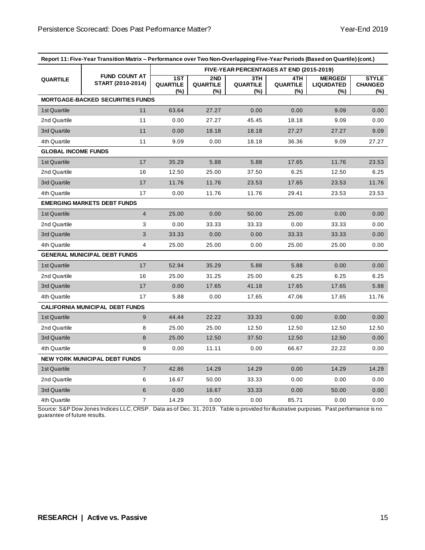| Report 11: Five-Year Transition Matrix - Performance over Two Non-Overlapping Five-Year Periods (Based on Quartile) (cont.) |                                           |                                          |                                  |                               |                               |                                               |                                       |
|-----------------------------------------------------------------------------------------------------------------------------|-------------------------------------------|------------------------------------------|----------------------------------|-------------------------------|-------------------------------|-----------------------------------------------|---------------------------------------|
|                                                                                                                             | <b>FUND COUNT AT</b><br>START (2010-2014) | FIVE-YEAR PERCENTAGES AT END (2015-2019) |                                  |                               |                               |                                               |                                       |
| <b>QUARTILE</b>                                                                                                             |                                           | 1ST<br><b>QUARTILE</b><br>$(\%)$         | 2ND<br><b>QUARTILE</b><br>$(\%)$ | 3TH<br><b>QUARTILE</b><br>(%) | 4TH<br><b>QUARTILE</b><br>(%) | <b>MERGED/</b><br><b>LIQUIDATED</b><br>$(\%)$ | <b>STYLE</b><br><b>CHANGED</b><br>(%) |
|                                                                                                                             | <b>MORTGAGE-BACKED SECURITIES FUNDS</b>   |                                          |                                  |                               |                               |                                               |                                       |
| 1st Quartile                                                                                                                | 11                                        | 63.64                                    | 27.27                            | 0.00                          | 0.00                          | 9.09                                          | 0.00                                  |
| 2nd Quartile                                                                                                                | 11                                        | 0.00                                     | 27.27                            | 45.45                         | 18.18                         | 9.09                                          | 0.00                                  |
| 3rd Quartile                                                                                                                | 11                                        | 0.00                                     | 18.18                            | 18.18                         | 27.27                         | 27.27                                         | 9.09                                  |
| 4th Quartile                                                                                                                | 11                                        | 9.09                                     | 0.00                             | 18.18                         | 36.36                         | 9.09                                          | 27.27                                 |
| <b>GLOBAL INCOME FUNDS</b>                                                                                                  |                                           |                                          |                                  |                               |                               |                                               |                                       |
| 1st Quartile                                                                                                                | 17                                        | 35.29                                    | 5.88                             | 5.88                          | 17.65                         | 11.76                                         | 23.53                                 |
| 2nd Quartile                                                                                                                | 16                                        | 12.50                                    | 25.00                            | 37.50                         | 6.25                          | 12.50                                         | 6.25                                  |
| 3rd Quartile                                                                                                                | 17                                        | 11.76                                    | 11.76                            | 23.53                         | 17.65                         | 23.53                                         | 11.76                                 |
| 4th Quartile                                                                                                                | 17                                        | 0.00                                     | 11.76                            | 11.76                         | 29.41                         | 23.53                                         | 23.53                                 |
|                                                                                                                             | <b>EMERGING MARKETS DEBT FUNDS</b>        |                                          |                                  |                               |                               |                                               |                                       |
| 1st Quartile                                                                                                                | $\overline{4}$                            | 25.00                                    | 0.00                             | 50.00                         | 25.00                         | 0.00                                          | 0.00                                  |
| 2nd Quartile                                                                                                                | 3                                         | 0.00                                     | 33.33                            | 33.33                         | 0.00                          | 33.33                                         | 0.00                                  |
| 3rd Quartile                                                                                                                | $\ensuremath{\mathsf{3}}$                 | 33.33                                    | 0.00                             | 0.00                          | 33.33                         | 33.33                                         | 0.00                                  |
| 4th Quartile                                                                                                                | 4                                         | 25.00                                    | 25.00                            | 0.00                          | 25.00                         | 25.00                                         | 0.00                                  |
|                                                                                                                             | <b>GENERAL MUNICIPAL DEBT FUNDS</b>       |                                          |                                  |                               |                               |                                               |                                       |
| 1st Quartile                                                                                                                | 17                                        | 52.94                                    | 35.29                            | 5.88                          | 5.88                          | 0.00                                          | 0.00                                  |
| 2nd Quartile                                                                                                                | 16                                        | 25.00                                    | 31.25                            | 25.00                         | 6.25                          | 6.25                                          | 6.25                                  |
| 3rd Quartile                                                                                                                | 17                                        | 0.00                                     | 17.65                            | 41.18                         | 17.65                         | 17.65                                         | 5.88                                  |
| 4th Quartile                                                                                                                | 17                                        | 5.88                                     | 0.00                             | 17.65                         | 47.06                         | 17.65                                         | 11.76                                 |
| <b>CALIFORNIA MUNICIPAL DEBT FUNDS</b>                                                                                      |                                           |                                          |                                  |                               |                               |                                               |                                       |
| 1st Quartile                                                                                                                | 9                                         | 44.44                                    | 22.22                            | 33.33                         | 0.00                          | 0.00                                          | 0.00                                  |
| 2nd Quartile                                                                                                                | 8                                         | 25.00                                    | 25.00                            | 12.50                         | 12.50                         | 12.50                                         | 12.50                                 |
| 3rd Quartile                                                                                                                | 8                                         | 25.00                                    | 12.50                            | 37.50                         | 12.50                         | 12.50                                         | 0.00                                  |
| 4th Quartile                                                                                                                | 9                                         | 0.00                                     | 11.11                            | 0.00                          | 66.67                         | 22.22                                         | 0.00                                  |
| <b>NEW YORK MUNICIPAL DEBT FUNDS</b>                                                                                        |                                           |                                          |                                  |                               |                               |                                               |                                       |
| 1st Quartile                                                                                                                | $\overline{7}$                            | 42.86                                    | 14.29                            | 14.29                         | 0.00                          | 14.29                                         | 14.29                                 |
| 2nd Quartile                                                                                                                | 6                                         | 16.67                                    | 50.00                            | 33.33                         | 0.00                          | 0.00                                          | 0.00                                  |
| 3rd Quartile                                                                                                                | 6                                         | 0.00                                     | 16.67                            | 33.33                         | 0.00                          | 50.00                                         | 0.00                                  |
| 4th Quartile                                                                                                                | 7                                         | 14.29                                    | 0.00                             | 0.00                          | 85.71                         | 0.00                                          | 0.00                                  |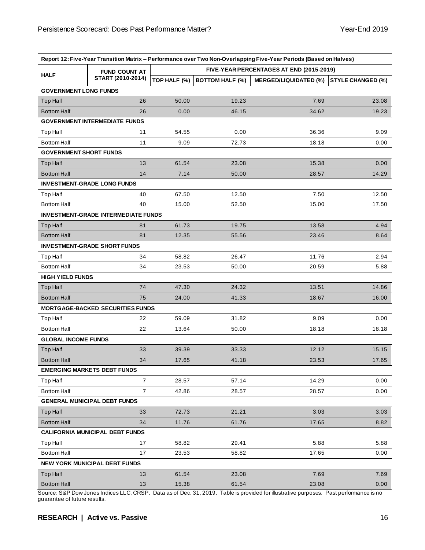| Report 12: Five-Year Transition Matrix - Performance over Two Non-Overlapping Five-Year Periods (Based on Halves) |                                            |                                          |                        |                              |                          |  |  |  |
|-------------------------------------------------------------------------------------------------------------------|--------------------------------------------|------------------------------------------|------------------------|------------------------------|--------------------------|--|--|--|
|                                                                                                                   | <b>FUND COUNT AT</b>                       | FIVE-YEAR PERCENTAGES AT END (2015-2019) |                        |                              |                          |  |  |  |
| <b>HALF</b>                                                                                                       | START (2010-2014)                          | TOP HALF (%)                             | <b>BOTTOM HALF (%)</b> | <b>MERGED/LIQUIDATED (%)</b> | <b>STYLE CHANGED (%)</b> |  |  |  |
| <b>GOVERNMENT LONG FUNDS</b>                                                                                      |                                            |                                          |                        |                              |                          |  |  |  |
| <b>Top Half</b>                                                                                                   | 26                                         | 50.00                                    | 19.23                  | 7.69                         | 23.08                    |  |  |  |
| <b>Bottom Half</b>                                                                                                | 26                                         | 0.00                                     | 46.15                  | 34.62                        | 19.23                    |  |  |  |
|                                                                                                                   | <b>GOVERNMENT INTERMEDIATE FUNDS</b>       |                                          |                        |                              |                          |  |  |  |
| <b>Top Half</b>                                                                                                   | 11                                         | 54.55                                    | 0.00                   | 36.36                        | 9.09                     |  |  |  |
| <b>Bottom Half</b>                                                                                                | 11                                         | 9.09                                     | 72.73                  | 18.18                        | 0.00                     |  |  |  |
| <b>GOVERNMENT SHORT FUNDS</b>                                                                                     |                                            |                                          |                        |                              |                          |  |  |  |
| <b>Top Half</b>                                                                                                   | 13                                         | 61.54                                    | 23.08                  | 15.38                        | 0.00                     |  |  |  |
| <b>Bottom Half</b>                                                                                                | 14                                         | 7.14                                     | 50.00                  | 28.57                        | 14.29                    |  |  |  |
|                                                                                                                   | <b>INVESTMENT-GRADE LONG FUNDS</b>         |                                          |                        |                              |                          |  |  |  |
| <b>Top Half</b>                                                                                                   | 40                                         | 67.50                                    | 12.50                  | 7.50                         | 12.50                    |  |  |  |
| <b>Bottom Half</b>                                                                                                | 40                                         | 15.00                                    | 52.50                  | 15.00                        | 17.50                    |  |  |  |
|                                                                                                                   | <b>INVESTMENT-GRADE INTERMEDIATE FUNDS</b> |                                          |                        |                              |                          |  |  |  |
| <b>Top Half</b>                                                                                                   | 81                                         | 61.73                                    | 19.75                  | 13.58                        | 4.94                     |  |  |  |
| <b>Bottom Half</b>                                                                                                | 81                                         | 12.35                                    | 55.56                  | 23.46                        | 8.64                     |  |  |  |
|                                                                                                                   | <b>INVESTMENT-GRADE SHORT FUNDS</b>        |                                          |                        |                              |                          |  |  |  |
| <b>Top Half</b>                                                                                                   | 34                                         | 58.82                                    | 26.47                  | 11.76                        | 2.94                     |  |  |  |
| <b>Bottom Half</b>                                                                                                | 34                                         | 23.53                                    | 50.00                  | 20.59                        | 5.88                     |  |  |  |
| <b>HIGH YIELD FUNDS</b>                                                                                           |                                            |                                          |                        |                              |                          |  |  |  |
| <b>Top Half</b>                                                                                                   | 74                                         | 47.30                                    | 24.32                  | 13.51                        | 14.86                    |  |  |  |
| <b>Bottom Half</b>                                                                                                | 75                                         | 24.00                                    | 41.33                  | 18.67                        | 16.00                    |  |  |  |
|                                                                                                                   | <b>MORTGAGE-BACKED SECURITIES FUNDS</b>    |                                          |                        |                              |                          |  |  |  |
| Top Half                                                                                                          | 22                                         | 59.09                                    | 31.82                  | 9.09                         | 0.00                     |  |  |  |
| <b>Bottom Half</b>                                                                                                | 22                                         | 13.64                                    | 50.00                  | 18.18                        | 18.18                    |  |  |  |
| <b>GLOBAL INCOME FUNDS</b>                                                                                        |                                            |                                          |                        |                              |                          |  |  |  |
| <b>Top Half</b>                                                                                                   | 33                                         | 39.39                                    | 33.33                  | 12.12                        | 15.15                    |  |  |  |
| <b>Bottom Half</b>                                                                                                | 34                                         | 17.65                                    | 41.18                  | 23.53                        | 17.65                    |  |  |  |
| <b>EMERGING MARKETS DEBT FUNDS</b>                                                                                |                                            |                                          |                        |                              |                          |  |  |  |
| Top Half                                                                                                          | $\overline{7}$                             | 28.57                                    | 57.14                  | 14.29                        | 0.00                     |  |  |  |
| <b>Bottom Half</b>                                                                                                | $\overline{7}$                             | 42.86                                    | 28.57                  | 28.57                        | 0.00                     |  |  |  |
| <b>GENERAL MUNICIPAL DEBT FUNDS</b>                                                                               |                                            |                                          |                        |                              |                          |  |  |  |
| Top Half                                                                                                          | 33                                         | 72.73                                    | 21.21                  | 3.03                         | 3.03                     |  |  |  |
| <b>Bottom Half</b>                                                                                                | 34                                         | 11.76                                    | 61.76                  | 17.65                        | 8.82                     |  |  |  |
| <b>CALIFORNIA MUNICIPAL DEBT FUNDS</b>                                                                            |                                            |                                          |                        |                              |                          |  |  |  |
| Top Half                                                                                                          | 17                                         | 58.82                                    | 29.41                  | 5.88                         | 5.88                     |  |  |  |
| <b>Bottom Half</b>                                                                                                | 17                                         | 23.53                                    | 58.82                  | 17.65                        | 0.00                     |  |  |  |
| <b>NEW YORK MUNICIPAL DEBT FUNDS</b>                                                                              |                                            |                                          |                        |                              |                          |  |  |  |
| <b>Top Half</b>                                                                                                   | 13                                         | 61.54                                    | 23.08                  | 7.69                         | 7.69                     |  |  |  |
| <b>Bottom Half</b>                                                                                                | 13                                         | 15.38                                    | 61.54                  | 23.08                        | 0.00                     |  |  |  |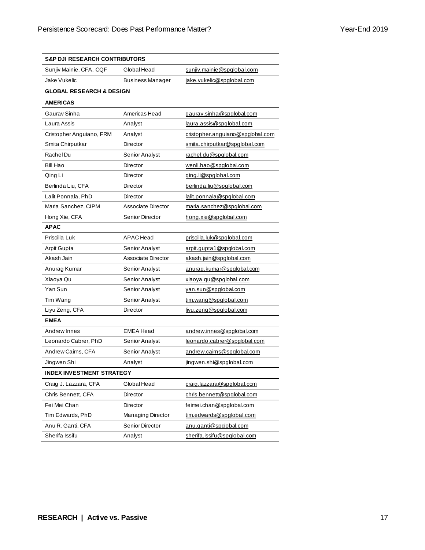| <b>S&amp;P DJI RESEARCH CONTRIBUTORS</b> |                           |                                  |  |  |
|------------------------------------------|---------------------------|----------------------------------|--|--|
| Sunjiv Mainie, CFA, CQF                  | Global Head               | sunjiv.mainie@spglobal.com       |  |  |
| Jake Vukelic<br><b>Business Manager</b>  |                           | jake.vukelic@spglobal.com        |  |  |
| <b>GLOBAL RESEARCH &amp; DESIGN</b>      |                           |                                  |  |  |
| <b>AMERICAS</b>                          |                           |                                  |  |  |
| Gaurav Sinha                             | Americas Head             | gaurav.sinha@spglobal.com        |  |  |
| Laura Assis                              | Analyst                   | laura.assis@spqlobal.com         |  |  |
| Cristopher Anguiano, FRM                 | Analyst                   | cristopher.anguiano@spglobal.com |  |  |
| Smita Chirputkar                         | Director                  | smita.chirputkar@spqlobal.com    |  |  |
| Rachel Du                                | Senior Analyst            | rachel.du@spglobal.com           |  |  |
| <b>Bill Hao</b>                          | Director                  | wenli.hao@spqlobal.com           |  |  |
| Qing Li                                  | Director                  | ging.li@spglobal.com             |  |  |
| Berlinda Liu, CFA                        | Director                  | berlinda.liu@spglobal.com        |  |  |
| Lalit Ponnala, PhD                       | Director                  | lalit.ponnala@spglobal.com       |  |  |
| Maria Sanchez, CIPM                      | Associate Director        | maria.sanchez@spglobal.com       |  |  |
| Hong Xie, CFA                            | Senior Director           | hong.xie@spglobal.com            |  |  |
| <b>APAC</b>                              |                           |                                  |  |  |
| Priscilla Luk                            | <b>APAC</b> Head          | priscilla.luk@spglobal.com       |  |  |
| Arpit Gupta                              | Senior Analyst            | arpit.gupta1@spglobal.com        |  |  |
| Akash Jain                               | <b>Associate Director</b> | akash.jain@spglobal.com          |  |  |
| Anurag Kumar                             | Senior Analyst            | anurag.kumar@spglobal.com        |  |  |
| Xiaoya Qu                                | Senior Analyst            | xiaoya.qu@spqlobal.com           |  |  |
| Yan Sun                                  | Senior Analyst            | yan.sun@spglobal.com             |  |  |
| Tim Wang                                 | Senior Analyst            | tim.wang@spglobal.com            |  |  |
| Liyu Zeng, CFA                           | Director                  | liyu.zeng@spglobal.com           |  |  |
| <b>EMEA</b>                              |                           |                                  |  |  |
| Andrew Innes                             | <b>EMEA Head</b>          | andrew.innes@spglobal.com        |  |  |
| Leonardo Cabrer, PhD                     | Senior Analyst            | leonardo.cabrer@spglobal.com     |  |  |
| Andrew Cairns, CFA                       | Senior Analyst            | andrew.cairns@spglobal.com       |  |  |
| Jingwen Shi                              | Analyst                   | jingwen.shi@spglobal.com         |  |  |
| <b>INDEX INVESTMENT STRATEGY</b>         |                           |                                  |  |  |
| Craig J. Lazzara, CFA                    | Global Head               | craig.lazzara@spglobal.com       |  |  |
| Chris Bennett, CFA                       | Director                  | chris.bennett@spqlobal.com       |  |  |
| Fei Mei Chan                             | Director                  | feimei.chan@spglobal.com         |  |  |
| Tim Edwards, PhD                         | <b>Managing Director</b>  | tim.edwards@spqlobal.com         |  |  |
| Anu R. Ganti, CFA                        | Senior Director           | anu.ganti@spglobal.com           |  |  |
| Sherifa Issifu                           | Analyst                   | sherifa.issifu@spqlobal.com      |  |  |